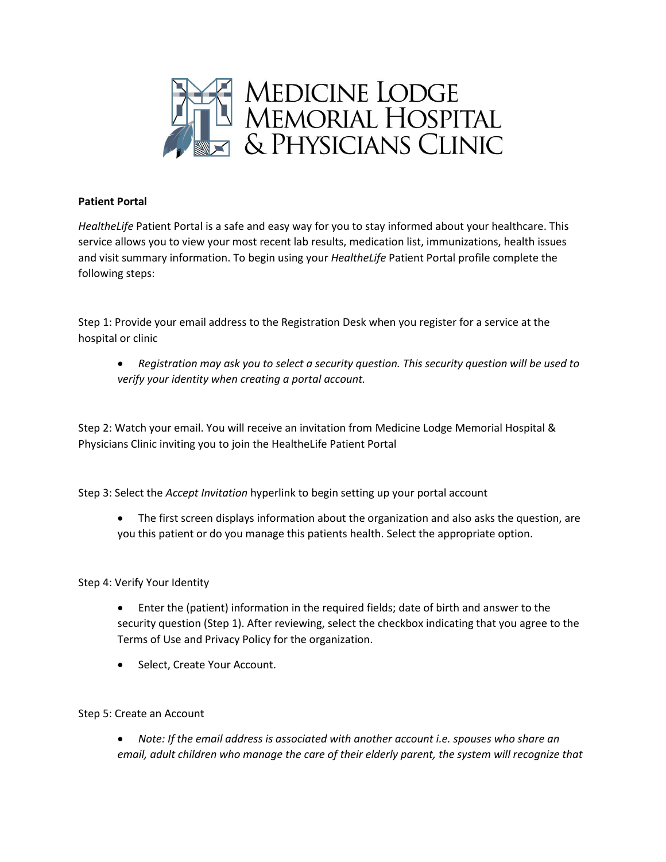

## **Patient Portal**

*HealtheLife* Patient Portal is a safe and easy way for you to stay informed about your healthcare. This service allows you to view your most recent lab results, medication list, immunizations, health issues and visit summary information. To begin using your *HealtheLife* Patient Portal profile complete the following steps:

Step 1: Provide your email address to the Registration Desk when you register for a service at the hospital or clinic

 *Registration may ask you to select a security question. This security question will be used to verify your identity when creating a portal account.*

Step 2: Watch your email. You will receive an invitation from Medicine Lodge Memorial Hospital & Physicians Clinic inviting you to join the HealtheLife Patient Portal

Step 3: Select the *Accept Invitation* hyperlink to begin setting up your portal account

 The first screen displays information about the organization and also asks the question, are you this patient or do you manage this patients health. Select the appropriate option.

Step 4: Verify Your Identity

- Enter the (patient) information in the required fields; date of birth and answer to the security question (Step 1). After reviewing, select the checkbox indicating that you agree to the Terms of Use and Privacy Policy for the organization.
- Select, Create Your Account.

Step 5: Create an Account

 *Note: If the email address is associated with another account i.e. spouses who share an email, adult children who manage the care of their elderly parent, the system will recognize that*